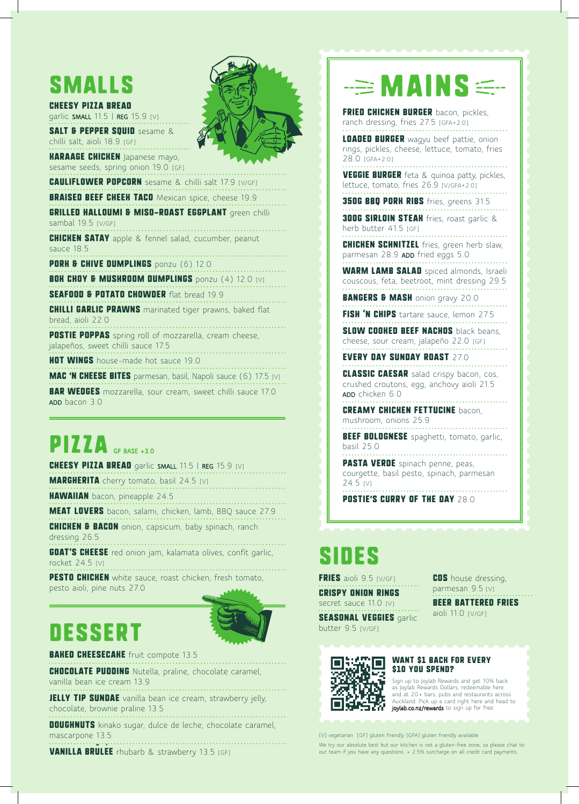# smalls

#### CHEESY PIZZA BREAD garlic SMALL 11.5 | REG 15.9 [V]

SALT & PEPPER SOUID sesame &

chilli salt, aioli 18.9 [GF] **HARAAGE CHICKEN** Japanese mayo,

sesame seeds, spring onion 19.0 [GF]

**CAULIFLOWER POPCORN** sesame & chilli salt 17.9 [V/GF] **BRAISED BEEF CHEEK TACO** Mexican spice, cheese 19.9 **GRILLED HALLOUMI & MISO-ROAST EGGPLANT** green chilli sambal 19.5 [V/GF] **CHICHEN SATAY** apple & fennel salad, cucumber, peanut sauce 18.5

PORK & CHIVE DUMPLINGS ponzu (6) 12.0

**BOK CHOY & MUSHROOM DUMPLINGS** ponzu (4) 12.0 [V] SEAFOOD & POTATO CHOWDER flat bread 19.9

**CHILLI GARLIC PRAWNS** marinated tiger prawns, baked flat

bread, aioli 22.0

**POSTIE POPPAS** spring roll of mozzarella, cream cheese, jalapeños, sweet chilli sauce 17.5

**HOT WINGS** house-made hot sauce 19.0

**MAC 'N CHEESE BITES** parmesan, basil, Napoli sauce (6) 17.5 [V] **BAR WEDGES** mozzarella, sour cream, sweet chilli sauce 17.0 ADD bacon 3.0

# $PIZZ$

CHEESY PIZZA BREAD garlic SMALL 11.5 | REG 15.9 [V] **MARGHERITA** cherry tomato, basil 24.5 [V]

**HAWAIIAN** bacon, pineapple 24.5

MEAT LOVERS bacon, salami, chicken, lamb, BBQ sauce 27.9 **CHICHEN & BACON** onion, capsicum, baby spinach, ranch

dressing 26.5

**GOAT'S CHEESE** red onion jam, kalamata olives, confit garlic, rocket 24.5 [V]

PESTO CHICHEN white sauce, roast chicken, fresh tomato, pesto aioli, pine nuts 27.0

## DESSERT



**BAKED CHEESECAKE** fruit compote 13.5

**CHOCOLATE PUDDING** Nutella, praline, chocolate caramel, vanilla bean ice cream 13.9

**JELLY TIP SUNDAE** vanilla bean ice cream, strawberry jelly, chocolate, brownie praline 13.5

DOUGHNUTS kinako sugar, dulce de leche, chocolate caramel, mascarpone 13.5

**VANILLA BRULEE** rhubarb & strawberry 13.5 [GF]



# $\Rightarrow$  MAINS  $\leq$

FRIED CHICKEN BURGER bacon, pickles, ranch dressing, fries 27.5 [GFA+2.0]

**LOADED BURGER** wagyu beef pattie, onion rings, pickles, cheese, lettuce, tomato, fries 28.0 [GFA+2.0]

VEGGIE BURGER feta & quinoa patty, pickles, lettuce, tomato, fries 26.9 [V/GFA+2.0]

**350G BBQ PORK RIBS** fries, greens 31.5

**300G SIRLOIN STEAH** fries, roast garlic & herb butter 41.5 [GF]

**CHICHEN SCHNITZEL** fries, green herb slaw, parmesan 28.9 ADD fried eggs 5.0

WARM LAMB SALAD spiced almonds, Israeli couscous, feta, beetroot, mint dressing 29.5

BANGERS & MASH onion gravy 20.0

FISH 'N CHIPS tartare sauce, lemon 27.5

SLOW COOKED BEEF NACHOS black beans. cheese, sour cream, jalapeño 22.0 [GF]

EVERY DAY SUNDAY ROAST 27.0

CLASSIC CAESAR salad crispy bacon, cos, crushed croutons, egg, anchovy aioli 21.5 ADD chicken 6.0

#### CREAMY CHICKEN FETTUCINE bacon, mushroom, onions 25.9

**BEEF BOLOGNESE** spaghetti, tomato, garlic,

basil 25.0 PASTA VERDE spinach penne, peas,

courgette, basil pesto, spinach, parmesan 24.5 [V]

POSTIE'S CURRY OF THE DAY 28.0

# **SIDES**

butter 9.5 [V/GF]

**FRIES** aioli 9.5 [V/GF] CRISPY ONION RINGS secret sauce 11.0 [V] SEASONAL VEGGIES garlic

COS house dressing, parmesan 9.5 [V]

BEER BATTERED FRIES aioli 11.0 [V/GF]



### WANT \$1 BACK FOR EVERY \$10 YOU SPEND?

Sign up to Joylab Rewards and get 10% back as Joylab Rewards Dollars, redeemable here and at 20+ bars, pubs and restaurants across Auckland. Pick up a card right here and head to joylab.co.nz/rewards to sign up for free.

[V] vegetarian [GF] gluten friendly [GFA] gluten friendly available We try our absolute best but our kitchen is not a gluten-free zone, so please chat to our team if you have any questions. + 2.5% surcharge on all credit card payments.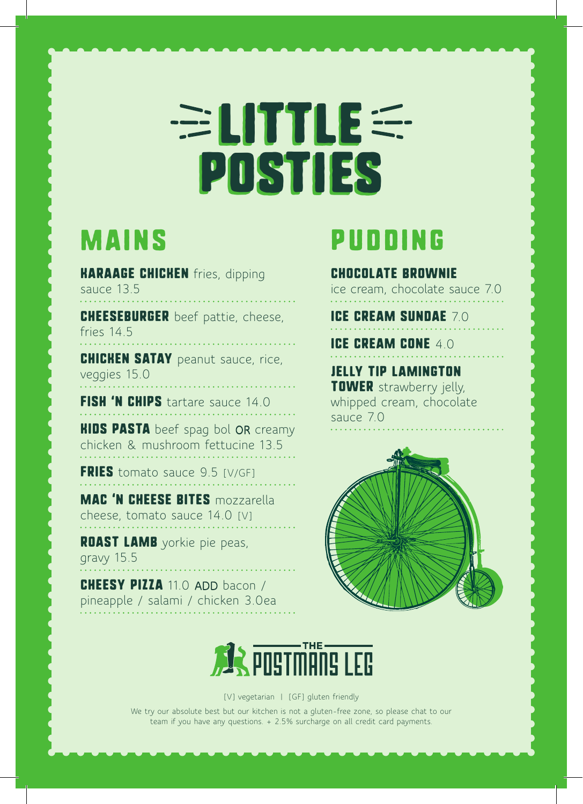# LITTLE: POSTIES POSTIES

## Mains

**HARAAGE CHICHEN** fries, dipping sauce 13.5

CHEESEBURGER beef pattie, cheese, fries 14.5

**CHICHEN SATAY** peanut sauce, rice, veggies 15.0

FISH 'N CHIPS tartare sauce 14.0

**HIDS PASTA** beef spag bol OR creamy chicken & mushroom fettucine 13.5

**FRIES** tomato sauce 9.5 [V/GF]

MAC 'N CHEESE BITES mozzarella cheese, tomato sauce 14.0 [V]

ROAST LAMB yorkie pie peas, gravy 15.5

CHEESY PIZZA 11.0 ADD bacon / pineapple / salami / chicken 3.0ea

## pudding

CHOCOLATE BROWNIE

ice cream, chocolate sauce 7.0

ICE CREAM SUNDAE 70

ICE CREAM CONE 4.0

JELLY TIP LAMINGTON **TOWER** strawberry jelly, whipped cream, chocolate sauce 7.0





[V] vegetarian | [GF] gluten friendly

We try our absolute best but our kitchen is not a gluten-free zone, so please chat to our team if you have any questions. + 2.5% surcharge on all credit card payments.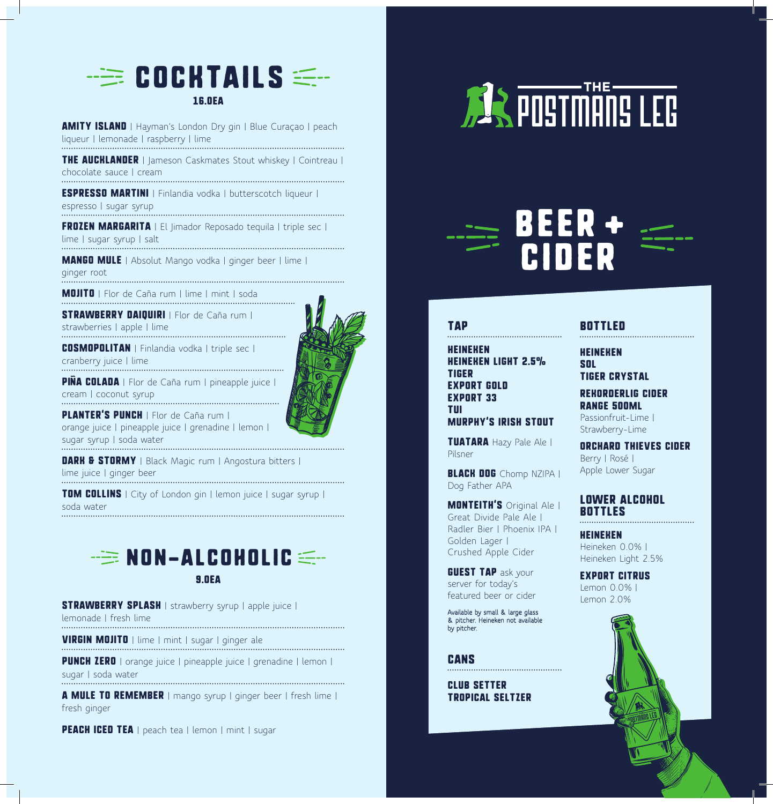

AMITY ISLAND | Hayman's London Dry gin | Blue Curaçao | peach liqueur | lemonade | raspberry | lime

**THE AUCHLANDER** | Jameson Caskmates Stout whiskey | Cointreau | chocolate sauce | cream

ESPRESSO MARTINI | Finlandia vodka | butterscotch liqueur | espresso | sugar syrup

FROZEN MARGARITA | El Jimador Reposado tequila | triple sec | lime | sugar syrup | salt

MANGO MULE | Absolut Mango vodka | ginger beer | lime | ginger root

MOJITO | Flor de Caña rum | lime | mint | soda

STRAWBERRY DAIDUIRI | Flor de Caña rum | strawberries | apple | lime

COSMOPOLITAN | Finlandia vodka | triple sec | cranberry juice | lime

**PIÑA COLADA** | Flor de Caña rum | pineapple juice | cream | coconut syrup

PLANTER'S PUNCH | Flor de Caña rum | orange juice | pineapple juice | grenadine | lemon | sugar syrup | soda water

**DARK & STORMY** | Black Magic rum | Angostura bitters |

lime juice | ginger beer

**TOM COLLINS** | City of London gin | lemon juice | sugar syrup | soda water



9.0EA

**STRAWBERRY SPLASH** | strawberry syrup | apple juice | lemonade | fresh lime

VIRGIN MOJITO | lime | mint | sugar | ginger ale

**PUNCH ZERO** | orange juice | pineapple juice | grenadine | lemon | sugar | soda water

A MULE TO REMEMBER | mango syrup | ginger beer | fresh lime | fresh ginger

PEACH ICED TEA | peach tea | lemon | mint | sugar



# BEER + CIDER

## TAP

**HEINEHEN** HEINEKEN LIGHT 2.5% TIGER EXPORT GOLD EXPORT 33 **TIII** MURPHY'S IRISH STOUT

TUATARA Hazy Pale Ale | Pilsner

BLACH DOG Chomp NZIPA | Dog Father APA

**MONTEITH'S** Original Ale | Great Divide Pale Ale | Radler Bier | Phoenix IPA | Golden Lager | Crushed Apple Cider

**GUEST TAP** ask your server for today's featured beer or cider

Available by small & large glass & pitcher. Heineken not available by pitcher.

## **CANS**

CLUB SETTER TROPICAL SELTZER

## BOTTLED

HEINEKEN SOL

TIGER CRYSTAL

REKORDERLIG CIDER RANGE 500ML

Passionfruit-Lime | Strawberry-Lime

ORCHARD THIEVES CIDER Berry | Rosé | Apple Lower Sugar

## LOWER ALCOHOL BOTTLES

HEINEKEN Heineken 0.0% | Heineken Light 2.5%

EXPORT CITRUS Lemon 0.0% | Lemon 2.0%